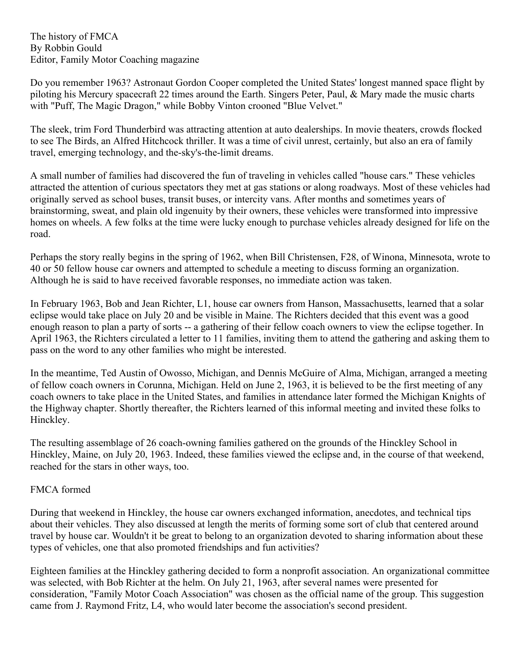The history of FMCA By Robbin Gould Editor, Family Motor Coaching magazine

Do you remember 1963? Astronaut Gordon Cooper completed the United States' longest manned space flight by piloting his Mercury spacecraft 22 times around the Earth. Singers Peter, Paul, & Mary made the music charts with "Puff, The Magic Dragon," while Bobby Vinton crooned "Blue Velvet."

The sleek, trim Ford Thunderbird was attracting attention at auto dealerships. In movie theaters, crowds flocked to see The Birds, an Alfred Hitchcock thriller. It was a time of civil unrest, certainly, but also an era of family travel, emerging technology, and the-sky's-the-limit dreams.

A small number of families had discovered the fun of traveling in vehicles called "house cars." These vehicles attracted the attention of curious spectators they met at gas stations or along roadways. Most of these vehicles had originally served as school buses, transit buses, or intercity vans. After months and sometimes years of brainstorming, sweat, and plain old ingenuity by their owners, these vehicles were transformed into impressive homes on wheels. A few folks at the time were lucky enough to purchase vehicles already designed for life on the road.

Perhaps the story really begins in the spring of 1962, when Bill Christensen, F28, of Winona, Minnesota, wrote to 40 or 50 fellow house car owners and attempted to schedule a meeting to discuss forming an organization. Although he is said to have received favorable responses, no immediate action was taken.

In February 1963, Bob and Jean Richter, L1, house car owners from Hanson, Massachusetts, learned that a solar eclipse would take place on July 20 and be visible in Maine. The Richters decided that this event was a good enough reason to plan a party of sorts -- a gathering of their fellow coach owners to view the eclipse together. In April 1963, the Richters circulated a letter to 11 families, inviting them to attend the gathering and asking them to pass on the word to any other families who might be interested.

In the meantime, Ted Austin of Owosso, Michigan, and Dennis McGuire of Alma, Michigan, arranged a meeting of fellow coach owners in Corunna, Michigan. Held on June 2, 1963, it is believed to be the first meeting of any coach owners to take place in the United States, and families in attendance later formed the Michigan Knights of the Highway chapter. Shortly thereafter, the Richters learned of this informal meeting and invited these folks to Hinckley.

The resulting assemblage of 26 coach-owning families gathered on the grounds of the Hinckley School in Hinckley, Maine, on July 20, 1963. Indeed, these families viewed the eclipse and, in the course of that weekend, reached for the stars in other ways, too.

## FMCA formed

During that weekend in Hinckley, the house car owners exchanged information, anecdotes, and technical tips about their vehicles. They also discussed at length the merits of forming some sort of club that centered around travel by house car. Wouldn't it be great to belong to an organization devoted to sharing information about these types of vehicles, one that also promoted friendships and fun activities?

Eighteen families at the Hinckley gathering decided to form a nonprofit association. An organizational committee was selected, with Bob Richter at the helm. On July 21, 1963, after several names were presented for consideration, "Family Motor Coach Association" was chosen as the official name of the group. This suggestion came from J. Raymond Fritz, L4, who would later become the association's second president.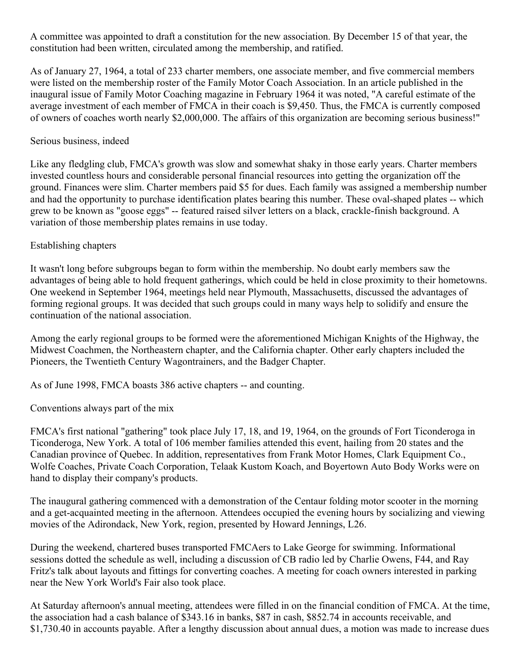A committee was appointed to draft a constitution for the new association. By December 15 of that year, the constitution had been written, circulated among the membership, and ratified.

As of January 27, 1964, a total of 233 charter members, one associate member, and five commercial members were listed on the membership roster of the Family Motor Coach Association. In an article published in the inaugural issue of Family Motor Coaching magazine in February 1964 it was noted, "A careful estimate of the average investment of each member of FMCA in their coach is \$9,450. Thus, the FMCA is currently composed of owners of coaches worth nearly \$2,000,000. The affairs of this organization are becoming serious business!"

## Serious business, indeed

Like any fledgling club, FMCA's growth was slow and somewhat shaky in those early years. Charter members invested countless hours and considerable personal financial resources into getting the organization off the ground. Finances were slim. Charter members paid \$5 for dues. Each family was assigned a membership number and had the opportunity to purchase identification plates bearing this number. These oval-shaped plates -- which grew to be known as "goose eggs" -- featured raised silver letters on a black, crackle-finish background. A variation of those membership plates remains in use today.

# Establishing chapters

It wasn't long before subgroups began to form within the membership. No doubt early members saw the advantages of being able to hold frequent gatherings, which could be held in close proximity to their hometowns. One weekend in September 1964, meetings held near Plymouth, Massachusetts, discussed the advantages of forming regional groups. It was decided that such groups could in many ways help to solidify and ensure the continuation of the national association.

Among the early regional groups to be formed were the aforementioned Michigan Knights of the Highway, the Midwest Coachmen, the Northeastern chapter, and the California chapter. Other early chapters included the Pioneers, the Twentieth Century Wagontrainers, and the Badger Chapter.

As of June 1998, FMCA boasts 386 active chapters -- and counting.

Conventions always part of the mix

FMCA's first national "gathering" took place July 17, 18, and 19, 1964, on the grounds of Fort Ticonderoga in Ticonderoga, New York. A total of 106 member families attended this event, hailing from 20 states and the Canadian province of Quebec. In addition, representatives from Frank Motor Homes, Clark Equipment Co., Wolfe Coaches, Private Coach Corporation, Telaak Kustom Koach, and Boyertown Auto Body Works were on hand to display their company's products.

The inaugural gathering commenced with a demonstration of the Centaur folding motor scooter in the morning and a get-acquainted meeting in the afternoon. Attendees occupied the evening hours by socializing and viewing movies of the Adirondack, New York, region, presented by Howard Jennings, L26.

During the weekend, chartered buses transported FMCAers to Lake George for swimming. Informational sessions dotted the schedule as well, including a discussion of CB radio led by Charlie Owens, F44, and Ray Fritz's talk about layouts and fittings for converting coaches. A meeting for coach owners interested in parking near the New York World's Fair also took place.

At Saturday afternoon's annual meeting, attendees were filled in on the financial condition of FMCA. At the time, the association had a cash balance of \$343.16 in banks, \$87 in cash, \$852.74 in accounts receivable, and \$1,730.40 in accounts payable. After a lengthy discussion about annual dues, a motion was made to increase dues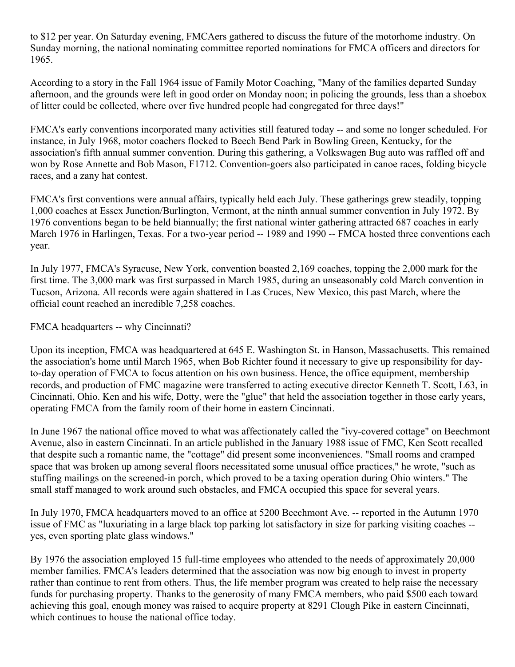to \$12 per year. On Saturday evening, FMCAers gathered to discuss the future of the motorhome industry. On Sunday morning, the national nominating committee reported nominations for FMCA officers and directors for 1965.

According to a story in the Fall 1964 issue of Family Motor Coaching, "Many of the families departed Sunday afternoon, and the grounds were left in good order on Monday noon; in policing the grounds, less than a shoebox of litter could be collected, where over five hundred people had congregated for three days!"

FMCA's early conventions incorporated many activities still featured today -- and some no longer scheduled. For instance, in July 1968, motor coachers flocked to Beech Bend Park in Bowling Green, Kentucky, for the association's fifth annual summer convention. During this gathering, a Volkswagen Bug auto was raffled off and won by Rose Annette and Bob Mason, F1712. Convention-goers also participated in canoe races, folding bicycle races, and a zany hat contest.

FMCA's first conventions were annual affairs, typically held each July. These gatherings grew steadily, topping 1,000 coaches at Essex Junction/Burlington, Vermont, at the ninth annual summer convention in July 1972. By 1976 conventions began to be held biannually; the first national winter gathering attracted 687 coaches in early March 1976 in Harlingen, Texas. For a two-year period -- 1989 and 1990 -- FMCA hosted three conventions each year.

In July 1977, FMCA's Syracuse, New York, convention boasted 2,169 coaches, topping the 2,000 mark for the first time. The 3,000 mark was first surpassed in March 1985, during an unseasonably cold March convention in Tucson, Arizona. All records were again shattered in Las Cruces, New Mexico, this past March, where the official count reached an incredible 7,258 coaches.

FMCA headquarters -- why Cincinnati?

Upon its inception, FMCA was headquartered at 645 E. Washington St. in Hanson, Massachusetts. This remained the association's home until March 1965, when Bob Richter found it necessary to give up responsibility for dayto-day operation of FMCA to focus attention on his own business. Hence, the office equipment, membership records, and production of FMC magazine were transferred to acting executive director Kenneth T. Scott, L63, in Cincinnati, Ohio. Ken and his wife, Dotty, were the "glue" that held the association together in those early years, operating FMCA from the family room of their home in eastern Cincinnati.

In June 1967 the national office moved to what was affectionately called the "ivy-covered cottage" on Beechmont Avenue, also in eastern Cincinnati. In an article published in the January 1988 issue of FMC, Ken Scott recalled that despite such a romantic name, the "cottage" did present some inconveniences. "Small rooms and cramped space that was broken up among several floors necessitated some unusual office practices," he wrote, "such as stuffing mailings on the screened-in porch, which proved to be a taxing operation during Ohio winters." The small staff managed to work around such obstacles, and FMCA occupied this space for several years.

In July 1970, FMCA headquarters moved to an office at 5200 Beechmont Ave. -- reported in the Autumn 1970 issue of FMC as "luxuriating in a large black top parking lot satisfactory in size for parking visiting coaches - yes, even sporting plate glass windows."

By 1976 the association employed 15 full-time employees who attended to the needs of approximately 20,000 member families. FMCA's leaders determined that the association was now big enough to invest in property rather than continue to rent from others. Thus, the life member program was created to help raise the necessary funds for purchasing property. Thanks to the generosity of many FMCA members, who paid \$500 each toward achieving this goal, enough money was raised to acquire property at 8291 Clough Pike in eastern Cincinnati, which continues to house the national office today.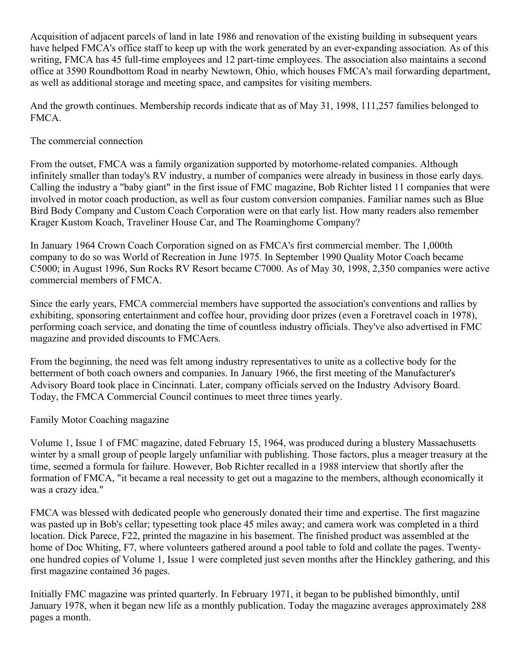Acquisition of adjacent parcels of land in late 1986 and renovation of the existing building in subsequent years have helped FMCA's office staff to keep up with the work generated by an ever-expanding association. As of this writing, FMCA has 45 full-time employees and 12 part-time employees. The association also maintains a second office at 3590 Roundbottom Road in nearby Newtown, Ohio, which houses FMCA's mail forwarding department, as well as additional storage and meeting space, and campsites for visiting members.

And the growth continues. Membership records indicate that as of May 31, 1998, 111,257 families belonged to FMCA.

## The commercial connection

From the outset, FMCA was a family organization supported by motorhome-related companies. Although infinitely smaller than today's RV industry, a number of companies were already in business in those early days. Calling the industry a "baby giant" in the first issue of FMC magazine, Bob Richter listed 11 companies that were involved in motor coach production, as well as four custom conversion companies. Familiar names such as Blue Bird Body Company and Custom Coach Corporation were on that early list. How many readers also remember Krager Kustom Koach, Traveliner House Car, and The Roaminghome Company?

In January 1964 Crown Coach Corporation signed on as FMCA's first commercial member. The 1,000th company to do so was World of Recreation in June 1975. In September 1990 Quality Motor Coach became C5000; in August 1996, Sun Rocks RV Resort became C7000. As of May 30, 1998, 2,350 companies were active commercial members of FMCA.

Since the early years, FMCA commercial members have supported the association's conventions and rallies by exhibiting, sponsoring entertainment and coffee hour, providing door prizes (even a Foretravel coach in 1978), performing coach service, and donating the time of countless industry officials. They've also advertised in FMC magazine and provided discounts to FMCAers.

From the beginning, the need was felt among industry representatives to unite as a collective body for the betterment of both coach owners and companies. In January 1966, the first meeting of the Manufacturer's Advisory Board took place in Cincinnati. Later, company officials served on the Industry Advisory Board. Today, the FMCA Commercial Council continues to meet three times yearly.

Family Motor Coaching magazine

Volume 1, Issue 1 of FMC magazine, dated February 15, 1964, was produced during a blustery Massachusetts winter by a small group of people largely unfamiliar with publishing. Those factors, plus a meager treasury at the time, seemed a formula for failure. However, Bob Richter recalled in a 1988 interview that shortly after the formation of FMCA, "it became a real necessity to get out a magazine to the members, although economically it was a crazy idea."

FMCA was blessed with dedicated people who generously donated their time and expertise. The first magazine was pasted up in Bob's cellar; typesetting took place 45 miles away; and camera work was completed in a third location. Dick Parece, F22, printed the magazine in his basement. The finished product was assembled at the home of Doc Whiting, F7, where volunteers gathered around a pool table to fold and collate the pages. Twentyone hundred copies of Volume 1, Issue 1 were completed just seven months after the Hinckley gathering, and this first magazine contained 36 pages.

Initially FMC magazine was printed quarterly. In February 1971, it began to be published bimonthly, until January 1978, when it began new life as a monthly publication. Today the magazine averages approximately 288 pages a month.